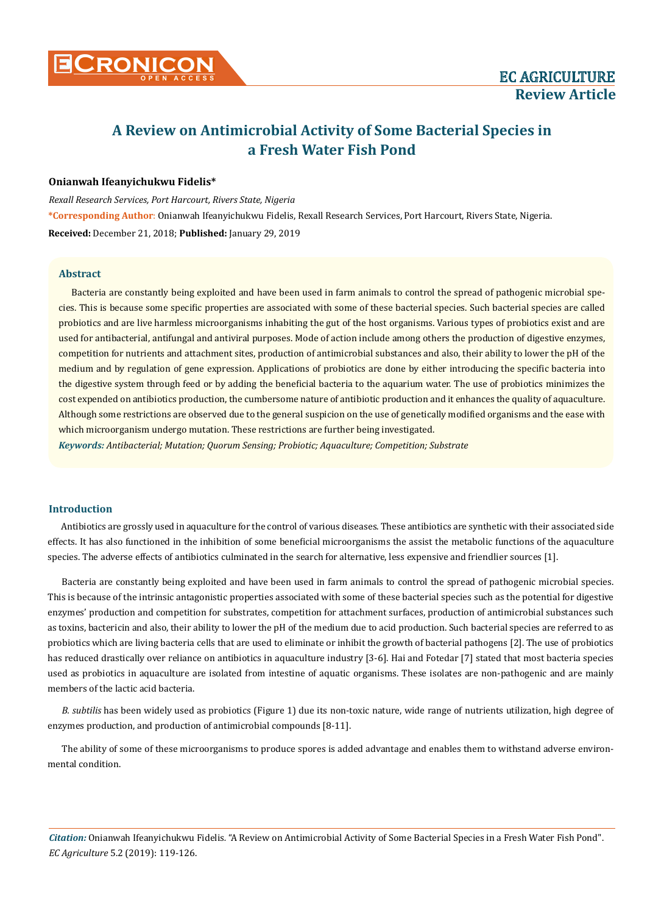## **Onianwah Ifeanyichukwu Fidelis\***

*Rexall Research Services, Port Harcourt, Rivers State, Nigeria* **\*Corresponding Author**: Onianwah Ifeanyichukwu Fidelis, Rexall Research Services, Port Harcourt, Rivers State, Nigeria. **Received:** December 21, 2018; **Published:** January 29, 2019

## **Abstract**

Bacteria are constantly being exploited and have been used in farm animals to control the spread of pathogenic microbial species. This is because some specific properties are associated with some of these bacterial species. Such bacterial species are called probiotics and are live harmless microorganisms inhabiting the gut of the host organisms. Various types of probiotics exist and are used for antibacterial, antifungal and antiviral purposes. Mode of action include among others the production of digestive enzymes, competition for nutrients and attachment sites, production of antimicrobial substances and also, their ability to lower the pH of the medium and by regulation of gene expression. Applications of probiotics are done by either introducing the specific bacteria into the digestive system through feed or by adding the beneficial bacteria to the aquarium water. The use of probiotics minimizes the cost expended on antibiotics production, the cumbersome nature of antibiotic production and it enhances the quality of aquaculture. Although some restrictions are observed due to the general suspicion on the use of genetically modified organisms and the ease with which microorganism undergo mutation. These restrictions are further being investigated.

*Keywords: Antibacterial; Mutation; Quorum Sensing; Probiotic; Aquaculture; Competition; Substrate*

# **Introduction**

Antibiotics are grossly used in aquaculture for the control of various diseases. These antibiotics are synthetic with their associated side effects. It has also functioned in the inhibition of some beneficial microorganisms the assist the metabolic functions of the aquaculture species. The adverse effects of antibiotics culminated in the search for alternative, less expensive and friendlier sources [1].

Bacteria are constantly being exploited and have been used in farm animals to control the spread of pathogenic microbial species. This is because of the intrinsic antagonistic properties associated with some of these bacterial species such as the potential for digestive enzymes' production and competition for substrates, competition for attachment surfaces, production of antimicrobial substances such as toxins, bactericin and also, their ability to lower the pH of the medium due to acid production. Such bacterial species are referred to as probiotics which are living bacteria cells that are used to eliminate or inhibit the growth of bacterial pathogens [2]. The use of probiotics has reduced drastically over reliance on antibiotics in aquaculture industry [3-6]. Hai and Fotedar [7] stated that most bacteria species used as probiotics in aquaculture are isolated from intestine of aquatic organisms. These isolates are non-pathogenic and are mainly members of the lactic acid bacteria.

*B. subtilis* has been widely used as probiotics (Figure 1) due its non-toxic nature, wide range of nutrients utilization, high degree of enzymes production, and production of antimicrobial compounds [8-11].

The ability of some of these microorganisms to produce spores is added advantage and enables them to withstand adverse environmental condition.

*Citation:* Onianwah Ifeanyichukwu Fidelis*.* "A Review on Antimicrobial Activity of Some Bacterial Species in a Fresh Water Fish Pond". *EC Agriculture* 5.2 (2019): 119-126.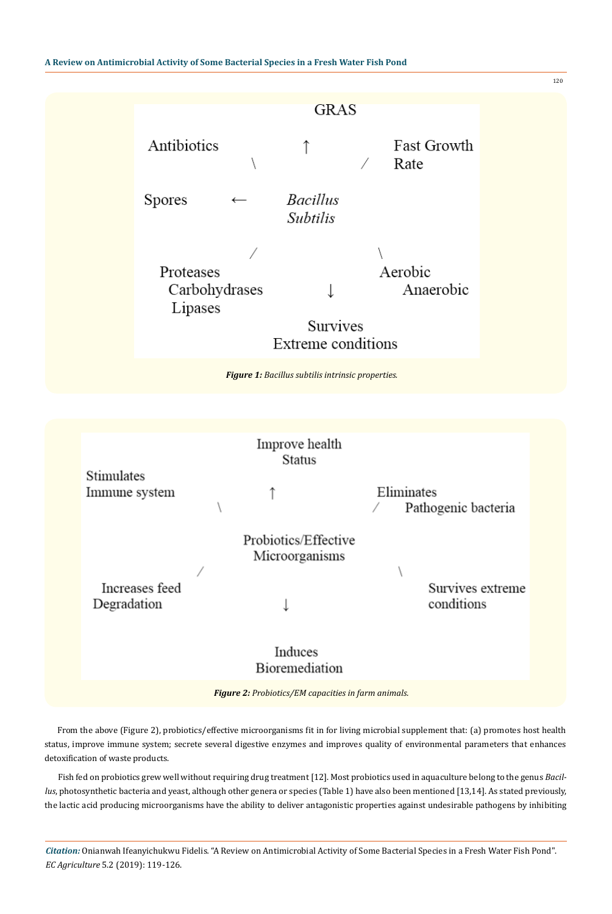

From the above (Figure 2), probiotics/effective microorganisms fit in for living microbial supplement that: (a) promotes host health status, improve immune system; secrete several digestive enzymes and improves quality of environmental parameters that enhances detoxification of waste products.

Fish fed on probiotics grew well without requiring drug treatment [12]. Most probiotics used in aquaculture belong to the genus *Bacillus*, photosynthetic bacteria and yeast, although other genera or species (Table 1) have also been mentioned [13,14]. As stated previously, the lactic acid producing microorganisms have the ability to deliver antagonistic properties against undesirable pathogens by inhibiting

*Citation:* Onianwah Ifeanyichukwu Fidelis*.* "A Review on Antimicrobial Activity of Some Bacterial Species in a Fresh Water Fish Pond". *EC Agriculture* 5.2 (2019): 119-126.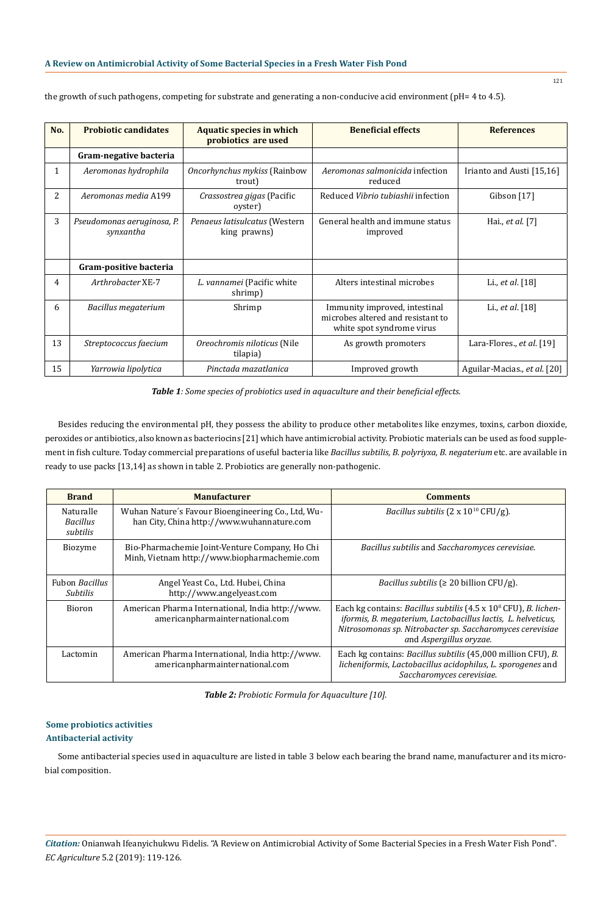| No. | <b>Probiotic candidates</b>             | <b>Aquatic species in which</b><br>probiotics are used | <b>Beneficial effects</b>                                                                       | <b>References</b>            |
|-----|-----------------------------------------|--------------------------------------------------------|-------------------------------------------------------------------------------------------------|------------------------------|
|     | Gram-negative bacteria                  |                                                        |                                                                                                 |                              |
| 1   | Aeromonas hydrophila                    | Oncorhynchus mykiss (Rainbow<br>trout)                 | Aeromonas salmonicida infection<br>reduced                                                      | Irianto and Austi [15,16]    |
| 2   | Aeromonas media A199                    | Crassostrea gigas (Pacific<br>oyster)                  | Reduced Vibrio tubiashii infection                                                              | Gibson [17]                  |
| 3   | Pseudomonas aeruginosa, P.<br>synxantha | Penaeus latisulcatus (Western<br>king prawns)          | General health and immune status<br>improved                                                    | Hai., et al. [7]             |
|     | Gram-positive bacteria                  |                                                        |                                                                                                 |                              |
| 4   | Arthrobacter XE-7                       | L. vannamei (Pacific white<br>shrimp)                  | Alters intestinal microbes                                                                      | Li., et al. [18]             |
| 6   | Bacillus megaterium                     | Shrimp                                                 | Immunity improved, intestinal<br>microbes altered and resistant to<br>white spot syndrome virus | Li., et al. [18]             |
| 13  | Streptococcus faecium                   | Oreochromis niloticus (Nile<br>tilapia)                | As growth promoters                                                                             | Lara-Flores., et al. [19]    |
| 15  | Yarrowia lipolytica                     | Pinctada mazatlanica                                   | Improved growth                                                                                 | Aguilar-Macias., et al. [20] |

the growth of such pathogens, competing for substrate and generating a non-conducive acid environment (pH= 4 to 4.5).

*Table 1: Some species of probiotics used in aquaculture and their beneficial effects.*

Besides reducing the environmental pH, they possess the ability to produce other metabolites like enzymes, toxins, carbon dioxide, peroxides or antibiotics, also known as bacteriocins [21] which have antimicrobial activity. Probiotic materials can be used as food supplement in fish culture. Today commercial preparations of useful bacteria like *Bacillus subtilis, B. polyriyxa, B. negaterium* etc. are available in ready to use packs [13,14] as shown in table 2. Probiotics are generally non-pathogenic.

| <b>Brand</b>                             | <b>Manufacturer</b>                                                                              | <b>Comments</b>                                                                                                                                                                                                                                        |
|------------------------------------------|--------------------------------------------------------------------------------------------------|--------------------------------------------------------------------------------------------------------------------------------------------------------------------------------------------------------------------------------------------------------|
| Naturalle<br><b>Bacillus</b><br>subtilis | Wuhan Nature's Favour Bioengineering Co., Ltd, Wu-<br>han City, China http://www.wuhannature.com | <i>Bacillus subtilis</i> ( $2 \times 10^{10}$ CFU/g).                                                                                                                                                                                                  |
| Biozyme                                  | Bio-Pharmachemie Joint-Venture Company, Ho Chi<br>Minh, Vietnam http://www.biopharmachemie.com   | Bacillus subtilis and Saccharomyces cerevisiae.                                                                                                                                                                                                        |
| <b>Fubon Bacillus</b><br><i>Subtilis</i> | Angel Yeast Co., Ltd. Hubei, China<br>http://www.angelyeast.com                                  | <i>Bacillus subtilis</i> ( $\geq 20$ billion CFU/g).                                                                                                                                                                                                   |
| Bioron                                   | American Pharma International, India http://www.<br>americanpharmainternational.com              | Each kg contains: <i>Bacillus subtilis</i> $(4.5 \times 10^8 \text{ CFU})$ , <i>B. lichen-</i><br>iformis, B. megaterium, Lactobacillus lactis, L. helveticus,<br>Nitrosomonas sp. Nitrobacter sp. Saccharomyces cerevisiae<br>and Aspergillus oryzae. |
| Lactomin                                 | American Pharma International, India http://www.<br>americanpharmainternational.com              | Each kg contains: Bacillus subtilis (45,000 million CFU), B.<br>licheniformis, Lactobacillus acidophilus, L. sporogenes and<br>Saccharomyces cerevisiae.                                                                                               |

*Table 2: Probiotic Formula for Aquaculture [10].*

# **Some probiotics activities Antibacterial activity**

Some antibacterial species used in aquaculture are listed in table 3 below each bearing the brand name, manufacturer and its microbial composition.

*Citation:* Onianwah Ifeanyichukwu Fidelis*.* "A Review on Antimicrobial Activity of Some Bacterial Species in a Fresh Water Fish Pond". *EC Agriculture* 5.2 (2019): 119-126.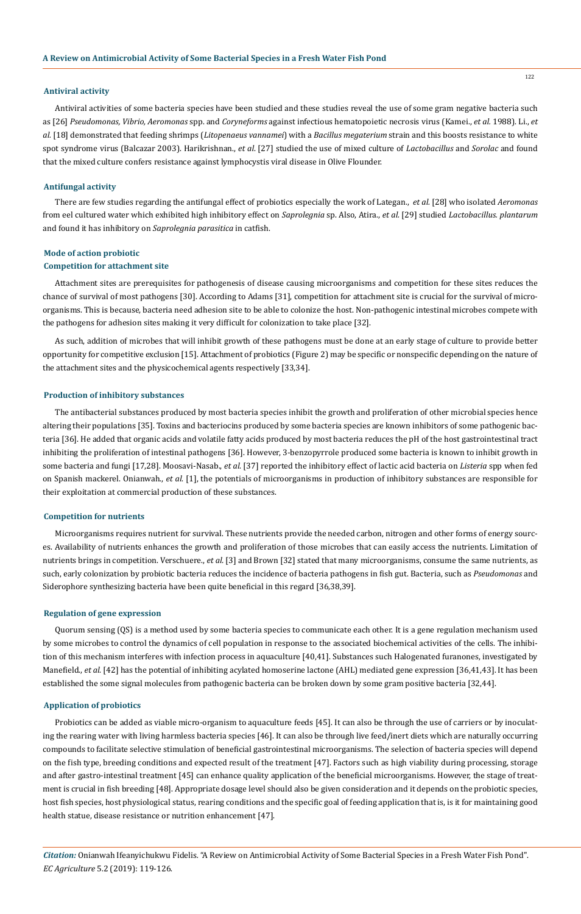#### **Antiviral activity**

122

Antiviral activities of some bacteria species have been studied and these studies reveal the use of some gram negative bacteria such as [26] *Pseudomonas, Vibrio, Aeromonas* spp. and *Coryneforms* against infectious hematopoietic necrosis virus (Kamei., *et al.* 1988). Li., *et al.* [18] demonstrated that feeding shrimps (*Litopenaeus vannamei*) with a *Bacillus megaterium* strain and this boosts resistance to white spot syndrome virus (Balcazar 2003). Harikrishnan., *et al*. [27] studied the use of mixed culture of *Lactobacillus* and *Sorolac* and found that the mixed culture confers resistance against lymphocystis viral disease in Olive Flounder.

### **Antifungal activity**

There are few studies regarding the antifungal effect of probiotics especially the work of Lategan., *et al.* [28] who isolated *Aeromonas* from eel cultured water which exhibited high inhibitory effect on *Saprolegnia* sp. Also, Atira., *et al.* [29] studied *Lactobacillus. plantarum*  and found it has inhibitory on *Saprolegnia parasitica* in catfish.

# **Mode of action probiotic**

# **Competition for attachment site**

Attachment sites are prerequisites for pathogenesis of disease causing microorganisms and competition for these sites reduces the chance of survival of most pathogens [30]. According to Adams [31], competition for attachment site is crucial for the survival of microorganisms. This is because, bacteria need adhesion site to be able to colonize the host. Non-pathogenic intestinal microbes compete with the pathogens for adhesion sites making it very difficult for colonization to take place [32].

As such, addition of microbes that will inhibit growth of these pathogens must be done at an early stage of culture to provide better opportunity for competitive exclusion [15]. Attachment of probiotics (Figure 2) may be specific or nonspecific depending on the nature of the attachment sites and the physicochemical agents respectively [33,34].

### **Production of inhibitory substances**

The antibacterial substances produced by most bacteria species inhibit the growth and proliferation of other microbial species hence altering their populations [35]. Toxins and bacteriocins produced by some bacteria species are known inhibitors of some pathogenic bacteria [36]. He added that organic acids and volatile fatty acids produced by most bacteria reduces the pH of the host gastrointestinal tract inhibiting the proliferation of intestinal pathogens [36]. However, 3-benzopyrrole produced some bacteria is known to inhibit growth in some bacteria and fungi [17,28]. Moosavi-Nasab., *et al*. [37] reported the inhibitory effect of lactic acid bacteria on *Listeria* spp when fed on Spanish mackerel. Onianwah., *et al*. [1], the potentials of microorganisms in production of inhibitory substances are responsible for their exploitation at commercial production of these substances.

#### **Competition for nutrients**

Microorganisms requires nutrient for survival. These nutrients provide the needed carbon, nitrogen and other forms of energy sources. Availability of nutrients enhances the growth and proliferation of those microbes that can easily access the nutrients. Limitation of nutrients brings in competition. Verschuere., *et al.* [3] and Brown [32] stated that many microorganisms, consume the same nutrients, as such, early colonization by probiotic bacteria reduces the incidence of bacteria pathogens in fish gut. Bacteria, such as *Pseudomonas* and Siderophore synthesizing bacteria have been quite beneficial in this regard [36,38,39].

### **Regulation of gene expression**

Quorum sensing (QS) is a method used by some bacteria species to communicate each other. It is a gene regulation mechanism used by some microbes to control the dynamics of cell population in response to the associated biochemical activities of the cells. The inhibition of this mechanism interferes with infection process in aquaculture [40,41]. Substances such Halogenated furanones, investigated by Manefield., *et al*. [42] has the potential of inhibiting acylated homoserine lactone (AHL) mediated gene expression [36,41,43]. It has been established the some signal molecules from pathogenic bacteria can be broken down by some gram positive bacteria [32,44].

#### **Application of probiotics**

Probiotics can be added as viable micro-organism to aquaculture feeds [45]. It can also be through the use of carriers or by inoculating the rearing water with living harmless bacteria species [46]. It can also be through live feed/inert diets which are naturally occurring compounds to facilitate selective stimulation of beneficial gastrointestinal microorganisms. The selection of bacteria species will depend on the fish type, breeding conditions and expected result of the treatment [47]. Factors such as high viability during processing, storage and after gastro-intestinal treatment [45] can enhance quality application of the beneficial microorganisms. However, the stage of treatment is crucial in fish breeding [48]. Appropriate dosage level should also be given consideration and it depends on the probiotic species, host fish species, host physiological status, rearing conditions and the specific goal of feeding application that is, is it for maintaining good health statue, disease resistance or nutrition enhancement [47].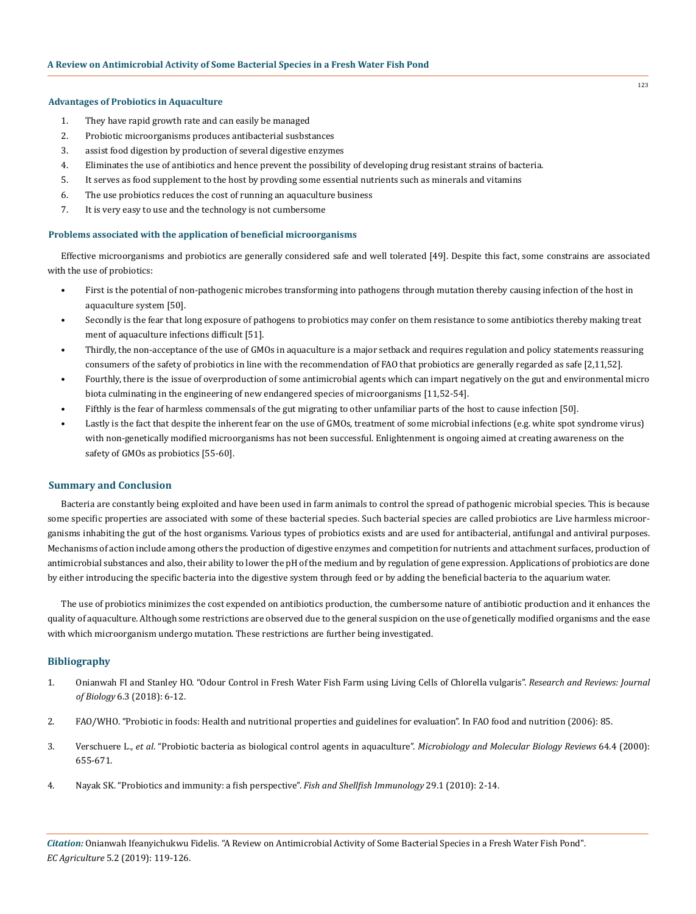# **Advantages of Probiotics in Aquaculture**

- 1. They have rapid growth rate and can easily be managed
- 2. Probiotic microorganisms produces antibacterial susbstances
- 3. assist food digestion by production of several digestive enzymes
- 4. Eliminates the use of antibiotics and hence prevent the possibility of developing drug resistant strains of bacteria.
- 5. It serves as food supplement to the host by provding some essential nutrients such as minerals and vitamins
- 6. The use probiotics reduces the cost of running an aquaculture business
- 7. It is very easy to use and the technology is not cumbersome

## **Problems associated with the application of beneficial microorganisms**

Effective microorganisms and probiotics are generally considered safe and well tolerated [49]. Despite this fact, some constrains are associated with the use of probiotics:

- First is the potential of non-pathogenic microbes transforming into pathogens through mutation thereby causing infection of the host in aquaculture system [50].
- Secondly is the fear that long exposure of pathogens to probiotics may confer on them resistance to some antibiotics thereby making treat ment of aquaculture infections difficult [51].
- Thirdly, the non-acceptance of the use of GMOs in aquaculture is a major setback and requires regulation and policy statements reassuring consumers of the safety of probiotics in line with the recommendation of FAO that probiotics are generally regarded as safe [2,11,52].
- Fourthly, there is the issue of overproduction of some antimicrobial agents which can impart negatively on the gut and environmental micro biota culminating in the engineering of new endangered species of microorganisms [11,52-54].
- Fifthly is the fear of harmless commensals of the gut migrating to other unfamiliar parts of the host to cause infection [50].
- Lastly is the fact that despite the inherent fear on the use of GMOs, treatment of some microbial infections (e.g. white spot syndrome virus) with non-genetically modified microorganisms has not been successful. Enlightenment is ongoing aimed at creating awareness on the safety of GMOs as probiotics [55-60].

# **Summary and Conclusion**

Bacteria are constantly being exploited and have been used in farm animals to control the spread of pathogenic microbial species. This is because some specific properties are associated with some of these bacterial species. Such bacterial species are called probiotics are Live harmless microorganisms inhabiting the gut of the host organisms. Various types of probiotics exists and are used for antibacterial, antifungal and antiviral purposes. Mechanisms of action include among others the production of digestive enzymes and competition for nutrients and attachment surfaces, production of antimicrobial substances and also, their ability to lower the pH of the medium and by regulation of gene expression. Applications of probiotics are done by either introducing the specific bacteria into the digestive system through feed or by adding the beneficial bacteria to the aquarium water.

The use of probiotics minimizes the cost expended on antibiotics production, the cumbersome nature of antibiotic production and it enhances the quality of aquaculture. Although some restrictions are observed due to the general suspicion on the use of genetically modified organisms and the ease with which microorganism undergo mutation. These restrictions are further being investigated.

# **Bibliography**

- 1. [Onianwah FI and Stanley HO. "Odour Control in Fresh Water Fish Farm using Living Cells of Chlorella vulgaris".](http://www.rroij.com/open-access/odour-control-in-fresh-water-fish-farm-using-living-cells-ofchlorella-vulgaris.pdf) *Research and Reviews: Journal of Biology* [6.3 \(2018\): 6-12.](http://www.rroij.com/open-access/odour-control-in-fresh-water-fish-farm-using-living-cells-ofchlorella-vulgaris.pdf)
- 2. [FAO/WHO. "Probiotic in foods: Health and nutritional properties and guidelines for evaluation". In FAO food and nutrition \(2006\): 85.](http://www.fao.org/3/a-a0512e.pdf)
- 3. Verschuere L., *et al*[. "Probiotic bacteria as biological control agents in aquaculture".](https://www.ncbi.nlm.nih.gov/pmc/articles/PMC99008/) *Microbiology and Molecular Biology Reviews* 64.4 (2000): [655-671.](https://www.ncbi.nlm.nih.gov/pmc/articles/PMC99008/)
- 4. [Nayak SK. "Probiotics and immunity: a fish perspective".](https://www.ncbi.nlm.nih.gov/pubmed/20219683) *Fish and Shellfish Immunology* 29.1 (2010): 2-14.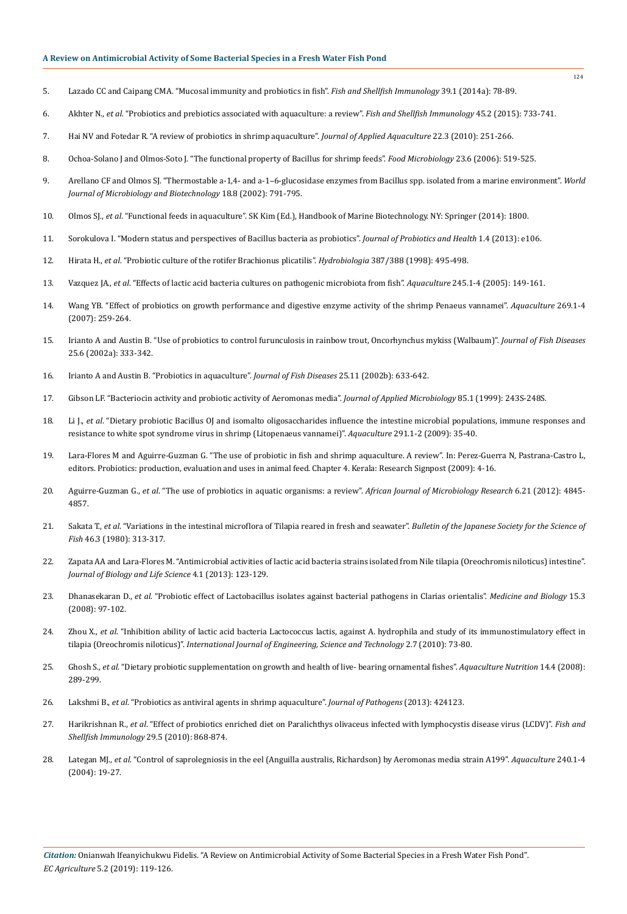- 5. [Lazado CC and Caipang CMA. "Mucosal immunity and probiotics in fish".](https://www.ncbi.nlm.nih.gov/pubmed/24795079) *Fish and Shellfish Immunology* 39.1 (2014a): 78-89.
- 6. Akhter N., *et al*[. "Probiotics and prebiotics associated with aquaculture: a review".](https://www.ncbi.nlm.nih.gov/pubmed/26044743) *Fish and Shellfish Immunology* 45.2 (2015): 733-741.
- 7. [Hai NV and Fotedar R. "A review of probiotics in shrimp aquaculture".](https://www.tandfonline.com/doi/abs/10.1080/10454438.2010.500597) *Journal of Applied Aquaculture* 22.3 (2010): 251-266.
- 8. [Ochoa-Solano J and Olmos-Soto J. "The functional property of Bacillus for shrimp feeds".](https://www.ncbi.nlm.nih.gov/pubmed/16943046) *Food Microbiology* 23.6 (2006): 519-525.
- 9. [Arellano CF and Olmos SJ. "Thermostable a-1,4- and a-1–6-glucosidase enzymes from Bacillus spp. isolated from a marine environment".](https://link.springer.com/article/10.1023/A:1020433210432) *World [Journal of Microbiology and Biotechnology](https://link.springer.com/article/10.1023/A:1020433210432)* 18.8 (2002): 791-795.
- 10. Olmos SJ., *et al*[. "Functional feeds in aquaculture". SK Kim \(Ed.\), Handbook of Marine Biotechnology. NY: Springer \(2014\): 1800.](https://www.researchgate.net/publication/275273273_FUNCTIONAL_FEEDS_IN_AQUACULTURE)
- 11. [Sorokulova I. "Modern status and perspectives of Bacillus bacteria as probiotics".](https://www.omicsonline.org/modern-status-and-perspectives-of-bacillus-bacteria-as-probiotics-2329-8901.1000e106.php?aid=21586) *Journal of Probiotics and Health* 1.4 (2013): e106.
- 12. Hirata H., *et al*[. "Probiotic culture of the rotifer Brachionus plicatilis".](https://link.springer.com/article/10.1023/A:1017004124600) *Hydrobiologia* 387/388 (1998): 495-498.
- 13. Vazquez JA., *et al*[. "Effects of lactic acid bacteria cultures on pathogenic microbiota from fish".](https://www.sciencedirect.com/science/article/abs/pii/S0044848604007240) *Aquaculture* 245.1-4 (2005): 149-161.
- 14. [Wang YB. "Effect of probiotics on growth performance and digestive enzyme activity of the shrimp Penaeus vannamei".](https://www.sciencedirect.com/science/article/abs/pii/S004484860700470X) *Aquaculture* 269.1-4 [\(2007\): 259-264.](https://www.sciencedirect.com/science/article/abs/pii/S004484860700470X)
- 15. [Irianto A and Austin B. "Use of probiotics to control furunculosis in rainbow trout, Oncorhynchus mykiss \(Walbaum\)".](https://onlinelibrary.wiley.com/doi/abs/10.1046/j.1365-2761.2002.00375.x) *Journal of Fish Diseases*  [25.6 \(2002a\): 333-342.](https://onlinelibrary.wiley.com/doi/abs/10.1046/j.1365-2761.2002.00375.x)
- 16. [Irianto A and Austin B. "Probiotics in aquaculture".](https://onlinelibrary.wiley.com/doi/full/10.1046/j.1365-2761.2002.00422.x) *Journal of Fish Diseases* 25.11 (2002b): 633-642.
- 17. [Gibson LF. "Bacteriocin activity and probiotic activity of Aeromonas media".](https://www.ncbi.nlm.nih.gov/pubmed/21182714) *Journal of Applied Microbiology* 85.1 (1999): 243S-248S.
- 18. Li J., *et al*[. "Dietary probiotic Bacillus OJ and isomalto oligosaccharides influence the intestine microbial populations, immune responses and](https://www.sciencedirect.com/science/article/abs/pii/S0044848609002373)  [resistance to white spot syndrome virus in shrimp \(Litopenaeus vannamei\)".](https://www.sciencedirect.com/science/article/abs/pii/S0044848609002373) *Aquaculture* 291.1-2 (2009): 35-40.
- 19. Lara-Flores M and Aguirre-Guzman G. "The use of probiotic in fish and shrimp aquaculture. A review". In: Perez-Guerra N, Pastrana-Castro L, editors. Probiotics: production, evaluation and uses in animal feed. Chapter 4. Kerala: Research Signpost (2009): 4-16.
- 20. Aguirre-Guzman G., *et al*[. "The use of probiotics in aquatic organisms: a review".](https://www.researchgate.net/publication/230807441_The_use_of_probiotics_in_aquatic_organisms_A_review) *African Journal of Microbiology Research* 6.21 (2012): 4845- [4857.](https://www.researchgate.net/publication/230807441_The_use_of_probiotics_in_aquatic_organisms_A_review)
- 21. Sakata T., *et al*[. "Variations in the intestinal microflora of Tilapia reared in fresh and seawater".](https://www.researchgate.net/publication/270046582_Variations_in_the_Intestinal_Microflora_of_Tilapia_Reared_in_Fresh_and_Sea_Water) *Bulletin of the Japanese Society for the Science of Fish* [46.3 \(1980\): 313-317.](https://www.researchgate.net/publication/270046582_Variations_in_the_Intestinal_Microflora_of_Tilapia_Reared_in_Fresh_and_Sea_Water)
- 22. [Zapata AA and Lara-Flores M. "Antimicrobial activities of lactic acid bacteria strains isolated from Nile tilapia \(Oreochromis niloticus\) intestine".](http://www.macrothink.org/journal/index.php/jbls/article/view/2408)  *[Journal of Biology and Life Science](http://www.macrothink.org/journal/index.php/jbls/article/view/2408)* 4.1 (2013): 123-129.
- 23. Dhanasekaran D., *et al*[. "Probiotic effect of Lactobacillus isolates against bacterial pathogens in Clarias orientalis".](http://facta.junis.ni.ac.rs/mab/mab200803/mab200803-04.pdf) *Medicine and Biology* 15.3 [\(2008\): 97-102.](http://facta.junis.ni.ac.rs/mab/mab200803/mab200803-04.pdf)
- 24. Zhou X., *et al*[. "Inhibition ability of lactic acid bacteria Lactococcus lactis, against A. hydrophila and study of its immunostimulatory effect in](https://www.researchgate.net/publication/49613810_Inhibition_ability_of_probiotic_Lactococcus_lactis_against_A_hydrophila_and_study_of_its_immunostimulatory_effect_in_tilapia_Oreochromis_niloticus)  tilapia (Oreochromis niloticus)". *[International Journal of Engineering, Science and Technology](https://www.researchgate.net/publication/49613810_Inhibition_ability_of_probiotic_Lactococcus_lactis_against_A_hydrophila_and_study_of_its_immunostimulatory_effect_in_tilapia_Oreochromis_niloticus)* 2.7 (2010): 73-80.
- 25. Ghosh S., *et al*[. "Dietary probiotic supplementation on growth and health of live- bearing ornamental fishes".](https://onlinelibrary.wiley.com/doi/abs/10.1111/j.1365-2095.2007.00529.x) *Aquaculture Nutrition* 14.4 (2008): [289-299.](https://onlinelibrary.wiley.com/doi/abs/10.1111/j.1365-2095.2007.00529.x)
- 26. Lakshmi B., *et al*[. "Probiotics as antiviral agents in shrimp aquaculture".](https://www.hindawi.com/journals/jpath/2013/424123/) *Journal of Pathogens* (2013): 424123.
- 27. Harikrishnan R., *et al*[. "Effect of probiotics enriched diet on Paralichthys olivaceus infected with lymphocystis disease virus \(LCDV\)".](https://www.ncbi.nlm.nih.gov/pubmed/20688170) *Fish and [Shellfish Immunology](https://www.ncbi.nlm.nih.gov/pubmed/20688170)* 29.5 (2010): 868-874.
- 28. Lategan MJ., *et al*[. "Control of saprolegniosis in the eel \(Anguilla australis, Richardson\) by Aeromonas media strain A199".](https://www.sciencedirect.com/science/article/abs/pii/S0044848604002091) *Aquaculture* 240.1-4 [\(2004\): 19-27.](https://www.sciencedirect.com/science/article/abs/pii/S0044848604002091)

124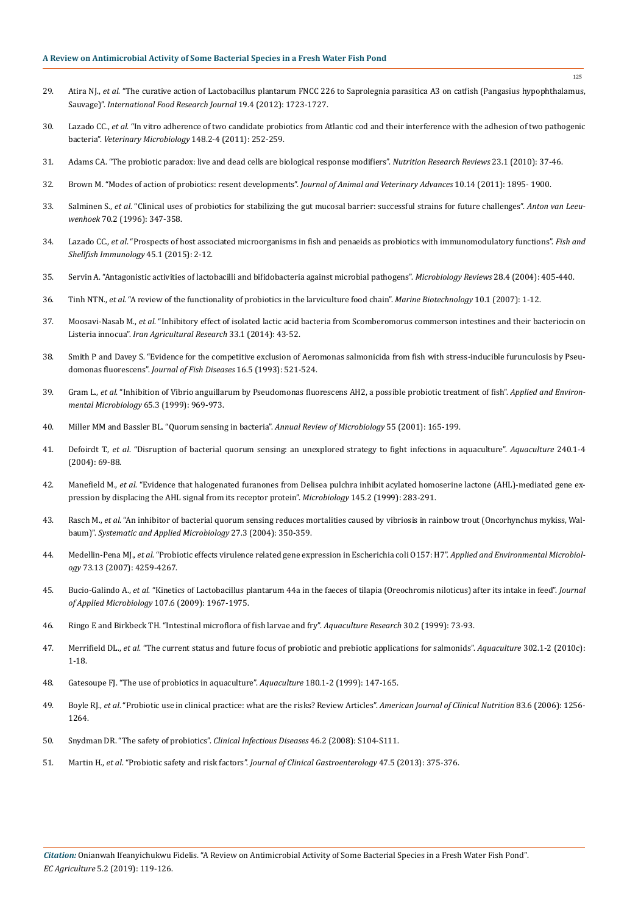- 29. Atira NJ., *et al*[. "The curative action of Lactobacillus plantarum FNCC 226 to Saprolegnia parasitica A3 on catfish \(Pangasius hypophthalamus,](http://www.ifrj.upm.edu.my/19%20(04)%202012/58%20IFRJ%2019%20(04)%202012%20Jetty%20(043).pdf)  Sauvage)". *[International Food Research Journal](http://www.ifrj.upm.edu.my/19%20(04)%202012/58%20IFRJ%2019%20(04)%202012%20Jetty%20(043).pdf)* 19.4 (2012): 1723-1727.
- 30. Lazado CC., *et al*[. "In vitro adherence of two candidate probiotics from Atlantic cod and their interference with the adhesion of two pathogenic](https://www.ncbi.nlm.nih.gov/pubmed/20884135)  bacteria". *[Veterinary Microbiology](https://www.ncbi.nlm.nih.gov/pubmed/20884135)* 148.2-4 (2011): 252-259.
- 31. [Adams CA. "The probiotic paradox: live and dead cells are biological response modifiers".](https://www.ncbi.nlm.nih.gov/pubmed/20403231) *Nutrition Research Reviews* 23.1 (2010): 37-46.
- 32. [Brown M. "Modes of action of probiotics: resent developments".](http://docsdrive.com/pdfs/medwelljournals/javaa/2011/1895-1900.pdf) *Journal of Animal and Veterinary Advances* 10.14 (2011): 1895- 1900.
- 33. Salminen S., *et al*[. "Clinical uses of probiotics for stabilizing the gut mucosal barrier: successful strains for future challenges".](https://www.ncbi.nlm.nih.gov/pubmed/8992950) *Anton van Leeuwenhoek* [70.2 \(1996\): 347-358.](https://www.ncbi.nlm.nih.gov/pubmed/8992950)
- 34. Lazado CC., *et al*[. "Prospects of host associated microorganisms in fish and penaeids as probiotics with immunomodulatory functions".](https://www.ncbi.nlm.nih.gov/pubmed/25703713) *Fish and [Shellfish Immunology](https://www.ncbi.nlm.nih.gov/pubmed/25703713)* 45.1 (2015): 2-12.
- 35. [Servin A. "Antagonistic activities of lactobacilli and bifidobacteria against microbial pathogens".](https://www.ncbi.nlm.nih.gov/pubmed/15374659) *Microbiology Reviews* 28.4 (2004): 405-440.
- 36. Tinh NTN., *et al*[. "A review of the functionality of probiotics in the larviculture food chain".](https://www.ncbi.nlm.nih.gov/pubmed/18040740) *Marine Biotechnology* 10.1 (2007): 1-12.
- 37. Moosavi-Nasab M., *et al*[. "Inhibitory effect of isolated lactic acid bacteria from Scomberomorus commerson intestines and their bacteriocin on](http://iar.shirazu.ac.ir/article_2380_d89feb657b7435f9ce2eec793c60cfdc.pdf)  Listeria innocua". *[Iran Agricultural Research](http://iar.shirazu.ac.ir/article_2380_d89feb657b7435f9ce2eec793c60cfdc.pdf)* 33.1 (2014): 43-52.
- 38. [Smith P and Davey S. "Evidence for the competitive exclusion of Aeromonas salmonicida from fish with stress-inducible furunculosis by Pseu](https://onlinelibrary.wiley.com/doi/abs/10.1111/j.1365-2761.1993.tb00888.x)domonas fluorescens". *[Journal of Fish Diseases](https://onlinelibrary.wiley.com/doi/abs/10.1111/j.1365-2761.1993.tb00888.x)* 16.5 (1993): 521-524.
- 39. Gram L., *et al*[. "Inhibition of Vibrio anguillarum by Pseudomonas fluorescens AH2, a possible probiotic treatment of fish".](https://www.ncbi.nlm.nih.gov/pmc/articles/PMC91130/) *Applied and Environ[mental Microbiology](https://www.ncbi.nlm.nih.gov/pmc/articles/PMC91130/)* 65.3 (1999): 969-973.
- 40. [Miller MM and Bassler BL. "Quorum sensing in bacteria".](https://www.ncbi.nlm.nih.gov/pubmed/11544353) *Annual Review of Microbiology* 55 (2001): 165-199.
- 41. Defoirdt T., *et al*[. "Disruption of bacterial quorum sensing: an unexplored strategy to fight infections in aquaculture".](https://www.sciencedirect.com/science/article/abs/pii/S0044848604003801) *Aquaculture* 240.1-4 [\(2004\): 69-88.](https://www.sciencedirect.com/science/article/abs/pii/S0044848604003801)
- 42. Manefield M., *et al*[. "Evidence that halogenated furanones from Delisea pulchra inhibit acylated homoserine lactone \(AHL\)-mediated gene ex](https://www.ncbi.nlm.nih.gov/pubmed/10075410)[pression by displacing the AHL signal from its receptor protein".](https://www.ncbi.nlm.nih.gov/pubmed/10075410) *Microbiology* 145.2 (1999): 283-291.
- 43. Rasch M., *et al*[. "An inhibitor of bacterial quorum sensing reduces mortalities caused by vibriosis in rainbow trout \(Oncorhynchus mykiss, Wal](https://www.ncbi.nlm.nih.gov/pubmed/15214641)baum)". *[Systematic and Applied Microbiology](https://www.ncbi.nlm.nih.gov/pubmed/15214641)* 27.3 (2004): 350-359.
- 44. Medellin-Pena MJ., *et al*[. "Probiotic effects virulence related gene expression in Escherichia coli O157: H7".](https://www.ncbi.nlm.nih.gov/pubmed/17496132) *Applied and Environmental Microbiology* [73.13 \(2007\): 4259-4267.](https://www.ncbi.nlm.nih.gov/pubmed/17496132)
- 45. Bucio-Galindo A., *et al*[. "Kinetics of Lactobacillus plantarum 44a in the faeces of tilapia \(Oreochromis niloticus\) after its intake in feed".](https://www.ncbi.nlm.nih.gov/pubmed/19523147) *Journal [of Applied Microbiology](https://www.ncbi.nlm.nih.gov/pubmed/19523147)* 107.6 (2009): 1967-1975.
- 46. [Ringo E and Birkbeck TH. "Intestinal microflora of fish larvae and fry".](https://www.researchgate.net/publication/261097638_Intestinal_microflora_of_fish_larvae_and_fry) *Aquaculture Research* 30.2 (1999): 73-93.
- 47. Merrifield DL., *et al*[. "The current status and future focus of probiotic and prebiotic applications for salmonids".](https://www.sciencedirect.com/science/article/abs/pii/S0044848610000955) *Aquaculture* 302.1-2 (2010c): [1-18.](https://www.sciencedirect.com/science/article/abs/pii/S0044848610000955)
- 48. [Gatesoupe FJ. "The use of probiotics in aquaculture".](https://www.sciencedirect.com/science/article/abs/pii/S0044848699001878) *Aquaculture* 180.1-2 (1999): 147-165.
- 49. Boyle RJ., *et al*[. "Probiotic use in clinical practice: what are the risks? Review Articles".](https://www.ncbi.nlm.nih.gov/pubmed/16762934) *American Journal of Clinical Nutrition* 83.6 (2006): 1256- [1264.](https://www.ncbi.nlm.nih.gov/pubmed/16762934)
- 50. [Snydman DR. "The safety of probiotics".](https://www.ncbi.nlm.nih.gov/pubmed/18181712) *Clinical Infectious Diseases* 46.2 (2008): S104-S111.
- 51. Martin H., *et al*. "Probiotic safety and risk factors". *[Journal of Clinical Gastroenterology](https://www.ncbi.nlm.nih.gov/pubmed/23507763)* 47.5 (2013): 375-376.

125